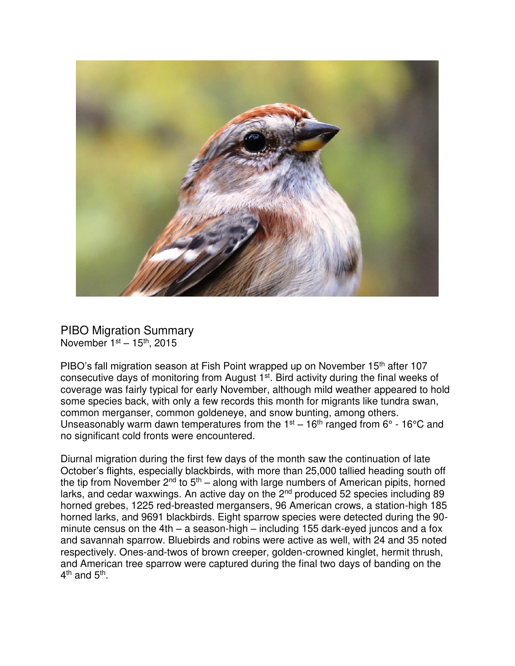

PIBO Migration Summary November  $1<sup>st</sup> - 15<sup>th</sup>$ , 2015

PIBO's fall migration season at Fish Point wrapped up on November 15<sup>th</sup> after 107 consecutive days of monitoring from August 1st. Bird activity during the final weeks of coverage was fairly typical for early November, although mild weather appeared to hold some species back, with only a few records this month for migrants like tundra swan, common merganser, common goldeneye, and snow bunting, among others. Unseasonably warm dawn temperatures from the  $1<sup>st</sup> - 16<sup>th</sup>$  ranged from  $6<sup>o</sup>$  - 16<sup>o</sup>C and no significant cold fronts were encountered.

Diurnal migration during the first few days of the month saw the continuation of late October's flights, especially blackbirds, with more than 25,000 tallied heading south off the tip from November  $2^{nd}$  to  $5^{th}$  – along with large numbers of American pipits, horned larks, and cedar waxwings. An active day on the  $2<sup>nd</sup>$  produced 52 species including 89 horned grebes, 1225 red-breasted mergansers, 96 American crows, a station-high 185 horned larks, and 9691 blackbirds. Eight sparrow species were detected during the 90 minute census on the 4th – a season-high – including 155 dark-eyed juncos and a fox and savannah sparrow. Bluebirds and robins were active as well, with 24 and 35 noted respectively. Ones-and-twos of brown creeper, golden-crowned kinglet, hermit thrush, and American tree sparrow were captured during the final two days of banding on the 4<sup>th</sup> and 5<sup>th</sup>.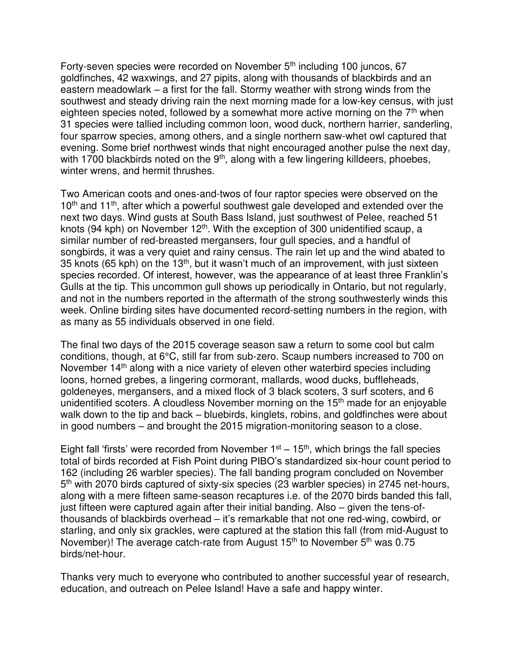Forty-seven species were recorded on November 5<sup>th</sup> including 100 juncos, 67 goldfinches, 42 waxwings, and 27 pipits, along with thousands of blackbirds and an eastern meadowlark – a first for the fall. Stormy weather with strong winds from the southwest and steady driving rain the next morning made for a low-key census, with just eighteen species noted, followed by a somewhat more active morning on the 7<sup>th</sup> when 31 species were tallied including common loon, wood duck, northern harrier, sanderling, four sparrow species, among others, and a single northern saw-whet owl captured that evening. Some brief northwest winds that night encouraged another pulse the next day, with 1700 blackbirds noted on the  $9<sup>th</sup>$ , along with a few lingering killdeers, phoebes, winter wrens, and hermit thrushes.

Two American coots and ones-and-twos of four raptor species were observed on the  $10<sup>th</sup>$  and  $11<sup>th</sup>$ , after which a powerful southwest gale developed and extended over the next two days. Wind gusts at South Bass Island, just southwest of Pelee, reached 51 knots (94 kph) on November 12<sup>th</sup>. With the exception of 300 unidentified scaup, a similar number of red-breasted mergansers, four gull species, and a handful of songbirds, it was a very quiet and rainy census. The rain let up and the wind abated to 35 knots (65 kph) on the 13<sup>th</sup>, but it wasn't much of an improvement, with just sixteen species recorded. Of interest, however, was the appearance of at least three Franklin's Gulls at the tip. This uncommon gull shows up periodically in Ontario, but not regularly, and not in the numbers reported in the aftermath of the strong southwesterly winds this week. Online birding sites have documented record-setting numbers in the region, with as many as 55 individuals observed in one field.

The final two days of the 2015 coverage season saw a return to some cool but calm conditions, though, at 6°C, still far from sub-zero. Scaup numbers increased to 700 on November 14<sup>th</sup> along with a nice variety of eleven other waterbird species including loons, horned grebes, a lingering cormorant, mallards, wood ducks, buffleheads, goldeneyes, mergansers, and a mixed flock of 3 black scoters, 3 surf scoters, and 6 unidentified scoters. A cloudless November morning on the  $15<sup>th</sup>$  made for an enjoyable walk down to the tip and back – bluebirds, kinglets, robins, and goldfinches were about in good numbers – and brought the 2015 migration-monitoring season to a close.

Eight fall 'firsts' were recorded from November  $1<sup>st</sup> - 15<sup>th</sup>$ , which brings the fall species total of birds recorded at Fish Point during PIBO's standardized six-hour count period to 162 (including 26 warbler species). The fall banding program concluded on November 5<sup>th</sup> with 2070 birds captured of sixty-six species (23 warbler species) in 2745 net-hours, along with a mere fifteen same-season recaptures i.e. of the 2070 birds banded this fall, just fifteen were captured again after their initial banding. Also – given the tens-ofthousands of blackbirds overhead – it's remarkable that not one red-wing, cowbird, or starling, and only six grackles, were captured at the station this fall (from mid-August to November)! The average catch-rate from August 15<sup>th</sup> to November 5<sup>th</sup> was 0.75 birds/net-hour.

Thanks very much to everyone who contributed to another successful year of research, education, and outreach on Pelee Island! Have a safe and happy winter.